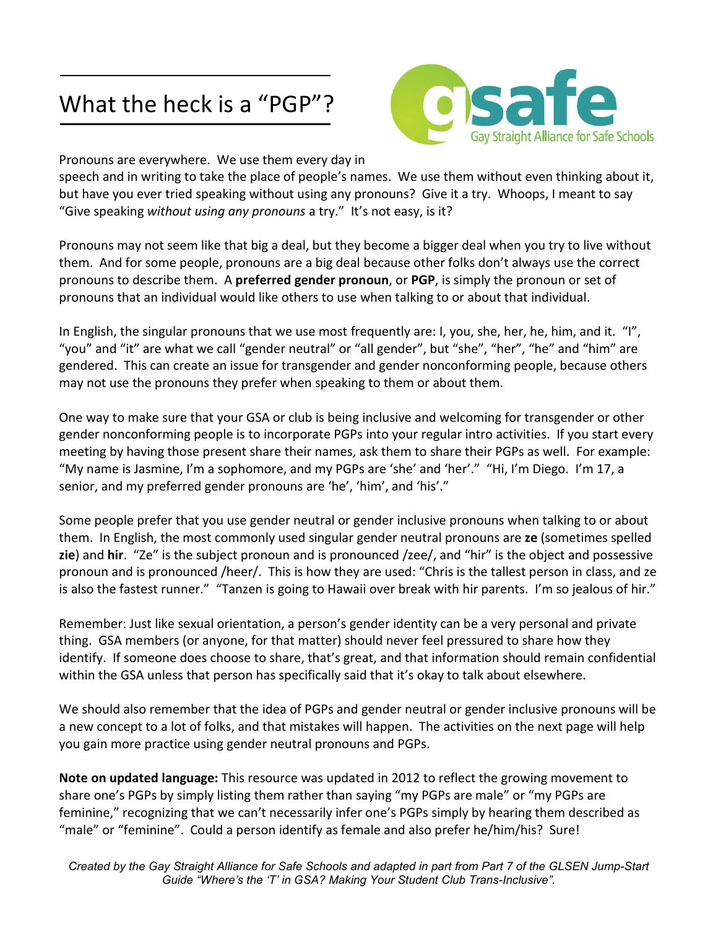## What the heck is a "PGP"?



Pronouns are everywhere. We use them every day in

speech and in writing to take the place of people's names. We use them without even thinking about it, but have you ever tried speaking without using any pronouns? Give it a try. Whoops, I meant to say "Give speaking *without using any pronouns* a try." It's not easy, is it?

Pronouns may not seem like that big a deal, but they become a bigger deal when you try to live without them. And for some people, pronouns are a big deal because other folks don't always use the correct pronouns to describe them. A **preferred gender pronoun**, or **PGP**, is simply the pronoun or set of pronouns that an individual would like others to use when talking to or about that individual.

In English, the singular pronouns that we use most frequently are: I, you, she, her, he, him, and it. "I", "you" and "it" are what we call "gender neutral" or "all gender", but "she", "her", "he" and "him" are gendered. This can create an issue for transgender and gender nonconforming people, because others may not use the pronouns they prefer when speaking to them or about them.

One way to make sure that your GSA or club is being inclusive and welcoming for transgender or other gender nonconforming people is to incorporate PGPs into your regular intro activities. If you start every meeting by having those present share their names, ask them to share their PGPs as well. For example: "My name is Jasmine, I'm a sophomore, and my PGPs are 'she' and 'her'." "Hi, I'm Diego. I'm 17, a senior, and my preferred gender pronouns are 'he', 'him', and 'his'."

Some people prefer that you use gender neutral or gender inclusive pronouns when talking to or about them. In English, the most commonly used singular gender neutral pronouns are **ze** (sometimes spelled **zie**) and **hir**. "Ze" is the subject pronoun and is pronounced /zee/, and "hir" is the object and possessive pronoun and is pronounced /heer/. This is how they are used: "Chris is the tallest person in class, and ze is also the fastest runner." "Tanzen is going to Hawaii over break with hir parents. I'm so jealous of hir."

Remember: Just like sexual orientation, a person's gender identity can be a very personal and private thing. GSA members (or anyone, for that matter) should never feel pressured to share how they identify. If someone does choose to share, that's great, and that information should remain confidential within the GSA unless that person has specifically said that it's okay to talk about elsewhere.

We should also remember that the idea of PGPs and gender neutral or gender inclusive pronouns will be a new concept to a lot of folks, and that mistakes will happen. The activities on the next page will help you gain more practice using gender neutral pronouns and PGPs.

**Note on updated language:** This resource was updated in 2012 to reflect the growing movement to share one's PGPs by simply listing them rather than saying "my PGPs are male" or "my PGPs are feminine," recognizing that we can't necessarily infer one's PGPs simply by hearing them described as "male" or "feminine". Could a person identify as female and also prefer he/him/his? Sure!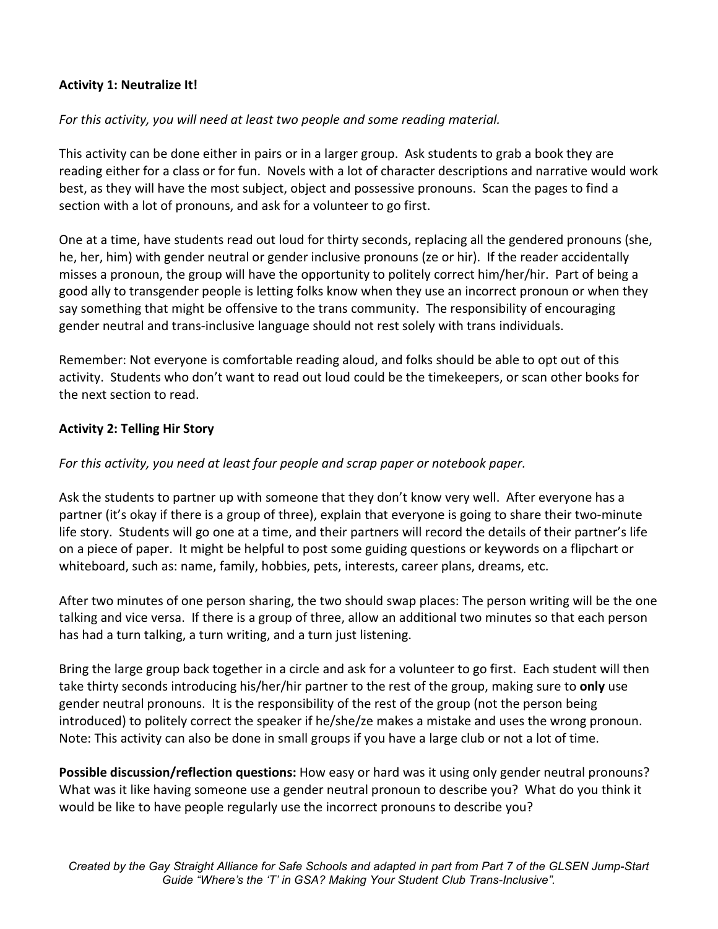## **Activity 1: Neutralize It!**

## *For this activity, you will need at least two people and some reading material.*

This activity can be done either in pairs or in a larger group. Ask students to grab a book they are reading either for a class or for fun. Novels with a lot of character descriptions and narrative would work best, as they will have the most subject, object and possessive pronouns. Scan the pages to find a section with a lot of pronouns, and ask for a volunteer to go first.

One at a time, have students read out loud for thirty seconds, replacing all the gendered pronouns (she, he, her, him) with gender neutral or gender inclusive pronouns (ze or hir). If the reader accidentally misses a pronoun, the group will have the opportunity to politely correct him/her/hir. Part of being a good ally to transgender people is letting folks know when they use an incorrect pronoun or when they say something that might be offensive to the trans community. The responsibility of encouraging gender neutral and trans-inclusive language should not rest solely with trans individuals.

Remember: Not everyone is comfortable reading aloud, and folks should be able to opt out of this activity. Students who don't want to read out loud could be the timekeepers, or scan other books for the next section to read.

## **Activity 2: Telling Hir Story**

*For this activity, you need at least four people and scrap paper or notebook paper.* 

Ask the students to partner up with someone that they don't know very well. After everyone has a partner (it's okay if there is a group of three), explain that everyone is going to share their two-minute life story. Students will go one at a time, and their partners will record the details of their partner's life on a piece of paper. It might be helpful to post some guiding questions or keywords on a flipchart or whiteboard, such as: name, family, hobbies, pets, interests, career plans, dreams, etc.

After two minutes of one person sharing, the two should swap places: The person writing will be the one talking and vice versa. If there is a group of three, allow an additional two minutes so that each person has had a turn talking, a turn writing, and a turn just listening.

Bring the large group back together in a circle and ask for a volunteer to go first. Each student will then take thirty seconds introducing his/her/hir partner to the rest of the group, making sure to **only** use gender neutral pronouns. It is the responsibility of the rest of the group (not the person being introduced) to politely correct the speaker if he/she/ze makes a mistake and uses the wrong pronoun. Note: This activity can also be done in small groups if you have a large club or not a lot of time.

**Possible discussion/reflection questions:** How easy or hard was it using only gender neutral pronouns? What was it like having someone use a gender neutral pronoun to describe you? What do you think it would be like to have people regularly use the incorrect pronouns to describe you?